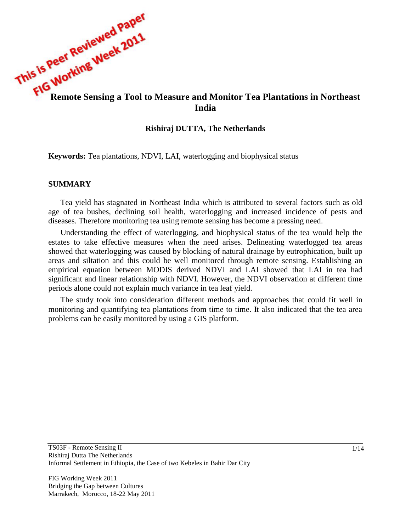

## **Rishiraj DUTTA, The Netherlands**

**Keywords:** Tea plantations, NDVI, LAI, waterlogging and biophysical status

## **SUMMARY**

Tea yield has stagnated in Northeast India which is attributed to several factors such as old age of tea bushes, declining soil health, waterlogging and increased incidence of pests and diseases. Therefore monitoring tea using remote sensing has become a pressing need.

Understanding the effect of waterlogging, and biophysical status of the tea would help the estates to take effective measures when the need arises. Delineating waterlogged tea areas showed that waterlogging was caused by blocking of natural drainage by eutrophication, built up areas and siltation and this could be well monitored through remote sensing. Establishing an empirical equation between MODIS derived NDVI and LAI showed that LAI in tea had significant and linear relationship with NDVI. However, the NDVI observation at different time periods alone could not explain much variance in tea leaf yield.

The study took into consideration different methods and approaches that could fit well in monitoring and quantifying tea plantations from time to time. It also indicated that the tea area problems can be easily monitored by using a GIS platform.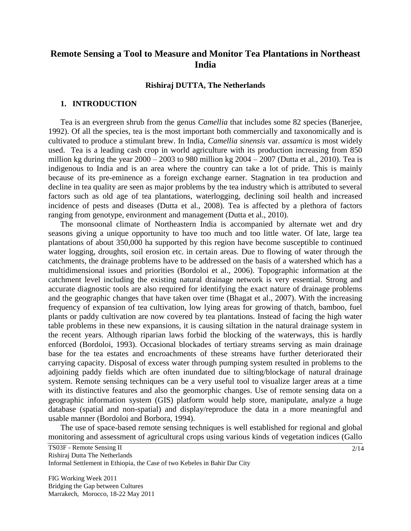# **Remote Sensing a Tool to Measure and Monitor Tea Plantations in Northeast India**

### **Rishiraj DUTTA, The Netherlands**

#### **1. INTRODUCTION**

Tea is an evergreen shrub from the genus *Camellia* that includes some 82 species (Banerjee, 1992). Of all the species, tea is the most important both commercially and taxonomically and is cultivated to produce a stimulant brew. In India, *Camellia sinensis* var. *assamica* is most widely used. Tea is a leading cash crop in world agriculture with its production increasing from 850 million kg during the year  $2000 - 2003$  to 980 million kg  $2004 - 2007$  (Dutta et al., 2010). Tea is indigenous to India and is an area where the country can take a lot of pride. This is mainly because of its pre-eminence as a foreign exchange earner. Stagnation in tea production and decline in tea quality are seen as major problems by the tea industry which is attributed to several factors such as old age of tea plantations, waterlogging, declining soil health and increased incidence of pests and diseases (Dutta et al., 2008). Tea is affected by a plethora of factors ranging from genotype, environment and management (Dutta et al., 2010).

The monsoonal climate of Northeastern India is accompanied by alternate wet and dry seasons giving a unique opportunity to have too much and too little water. Of late, large tea plantations of about 350,000 ha supported by this region have become susceptible to continued water logging, droughts, soil erosion etc. in certain areas. Due to flowing of water through the catchments, the drainage problems have to be addressed on the basis of a watershed which has a multidimensional issues and priorities (Bordoloi et al., 2006). Topographic information at the catchment level including the existing natural drainage network is very essential. Strong and accurate diagnostic tools are also required for identifying the exact nature of drainage problems and the geographic changes that have taken over time (Bhagat et al., 2007). With the increasing frequency of expansion of tea cultivation, low lying areas for growing of thatch, bamboo, fuel plants or paddy cultivation are now covered by tea plantations. Instead of facing the high water table problems in these new expansions, it is causing siltation in the natural drainage system in the recent years. Although riparian laws forbid the blocking of the waterways, this is hardly enforced (Bordoloi, 1993). Occasional blockades of tertiary streams serving as main drainage base for the tea estates and encroachments of these streams have further deteriorated their carrying capacity. Disposal of excess water through pumping system resulted in problems to the adjoining paddy fields which are often inundated due to silting/blockage of natural drainage system. Remote sensing techniques can be a very useful tool to visualize larger areas at a time with its distinctive features and also the geomorphic changes. Use of remote sensing data on a geographic information system (GIS) platform would help store, manipulate, analyze a huge database (spatial and non-spatial) and display/reproduce the data in a more meaningful and usable manner (Bordoloi and Borbora, 1994).

The use of space-based remote sensing techniques is well established for regional and global monitoring and assessment of agricultural crops using various kinds of vegetation indices (Gallo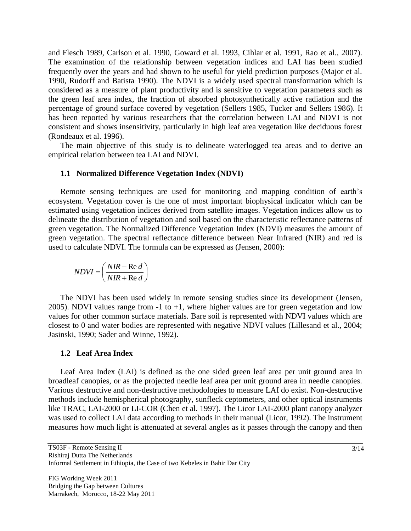and Flesch 1989, Carlson et al. 1990, Goward et al. 1993, Cihlar et al. 1991, Rao et al., 2007). The examination of the relationship between vegetation indices and LAI has been studied frequently over the years and had shown to be useful for yield prediction purposes (Major et al. 1990, Rudorff and Batista 1990). The NDVI is a widely used spectral transformation which is considered as a measure of plant productivity and is sensitive to vegetation parameters such as the green leaf area index, the fraction of absorbed photosynthetically active radiation and the percentage of ground surface covered by vegetation (Sellers 1985, Tucker and Sellers 1986). It has been reported by various researchers that the correlation between LAI and NDVI is not consistent and shows insensitivity, particularly in high leaf area vegetation like deciduous forest (Rondeaux et al. 1996).

The main objective of this study is to delineate waterlogged tea areas and to derive an empirical relation between tea LAI and NDVI.

## **1.1 Normalized Difference Vegetation Index (NDVI)**

Remote sensing techniques are used for monitoring and mapping condition of earth"s ecosystem. Vegetation cover is the one of most important biophysical indicator which can be estimated using vegetation indices derived from satellite images. Vegetation indices allow us to delineate the distribution of vegetation and soil based on the characteristic reflectance patterns of green vegetation. The Normalized Difference Vegetation Index (NDVI) measures the amount of green vegetation. The spectral reflectance difference between Near Infrared (NIR) and red is used to calculate NDVI. The formula can be expressed as (Jensen, 2000):

$$
NDVI = \left(\frac{NIR - \text{Re } d}{NIR + \text{Re } d}\right)
$$

The NDVI has been used widely in remote sensing studies since its development (Jensen, 2005). NDVI values range from  $-1$  to  $+1$ , where higher values are for green vegetation and low values for other common surface materials. Bare soil is represented with NDVI values which are closest to 0 and water bodies are represented with negative NDVI values (Lillesand et al., 2004; Jasinski, 1990; Sader and Winne, 1992).

## **1.2 Leaf Area Index**

Leaf Area Index (LAI) is defined as the one sided green leaf area per unit ground area in broadleaf canopies, or as the projected needle leaf area per unit ground area in needle canopies. Various destructive and non-destructive methodologies to measure LAI do exist. Non-destructive methods include hemispherical photography, sunfleck ceptometers, and other optical instruments like TRAC, LAI-2000 or LI-COR (Chen et al. 1997). The Licor LAI-2000 plant canopy analyzer was used to collect LAI data according to methods in their manual (Licor, 1992). The instrument measures how much light is attenuated at several angles as it passes through the canopy and then

TS03F - Remote Sensing II Rishiraj Dutta The Netherlands Informal Settlement in Ethiopia, the Case of two Kebeles in Bahir Dar City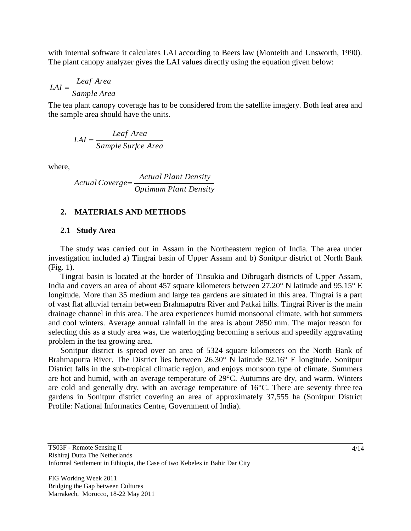with internal software it calculates LAI according to Beers law (Monteith and Unsworth, 1990). The plant canopy analyzer gives the LAI values directly using the equation given below:

$$
LAI = \frac{Leaf\ Area}{Sample\ Area}
$$

The tea plant canopy coverage has to be considered from the satellite imagery. Both leaf area and the sample area should have the units.

$$
LAI = \frac{Leaf\ Area}{Sample\ Surface\ Area}
$$

where,

$$
Actual \,Coverge = \frac{Actual \, Plant \, Density}{Optimum \, Plant \, Density}
$$

## **2. MATERIALS AND METHODS**

#### **2.1 Study Area**

The study was carried out in Assam in the Northeastern region of India. The area under investigation included a) Tingrai basin of Upper Assam and b) Sonitpur district of North Bank (Fig. 1).

Tingrai basin is located at the border of Tinsukia and Dibrugarh districts of Upper Assam, India and covers an area of about 457 square kilometers between 27.20° N latitude and 95.15° E longitude. More than 35 medium and large tea gardens are situated in this area. Tingrai is a part of vast flat alluvial terrain between Brahmaputra River and Patkai hills. Tingrai River is the main drainage channel in this area. The area experiences humid monsoonal climate, with hot summers and cool winters. Average annual rainfall in the area is about 2850 mm. The major reason for selecting this as a study area was, the waterlogging becoming a serious and speedily aggravating problem in the tea growing area.

Sonitpur district is spread over an area of 5324 square kilometers on the North Bank of Brahmaputra River. The District lies between 26.30° N latitude 92.16° E longitude. Sonitpur District falls in the sub-tropical climatic region, and enjoys monsoon type of climate. Summers are hot and humid, with an average temperature of 29°C. Autumns are dry, and warm. Winters are cold and generally dry, with an average temperature of 16°C. There are seventy three tea gardens in Sonitpur district covering an area of approximately 37,555 ha (Sonitpur District Profile: National Informatics Centre, Government of India).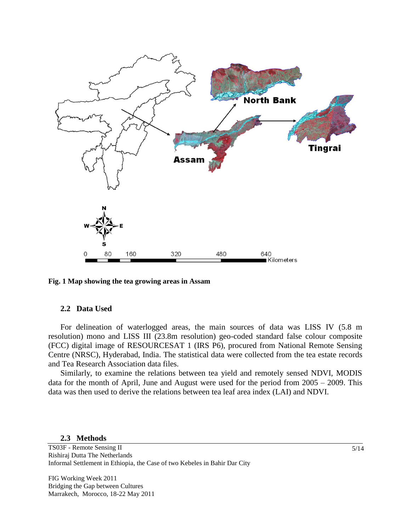

**Fig. 1 Map showing the tea growing areas in Assam**

#### **2.2 Data Used**

For delineation of waterlogged areas, the main sources of data was LISS IV (5.8 m resolution) mono and LISS III (23.8m resolution) geo-coded standard false colour composite (FCC) digital image of RESOURCESAT 1 (IRS P6), procured from National Remote Sensing Centre (NRSC), Hyderabad, India. The statistical data were collected from the tea estate records and Tea Research Association data files.

Similarly, to examine the relations between tea yield and remotely sensed NDVI, MODIS data for the month of April, June and August were used for the period from 2005 – 2009. This data was then used to derive the relations between tea leaf area index (LAI) and NDVI.

#### **2.3 Methods**

TS03F - Remote Sensing II Rishiraj Dutta The Netherlands Informal Settlement in Ethiopia, the Case of two Kebeles in Bahir Dar City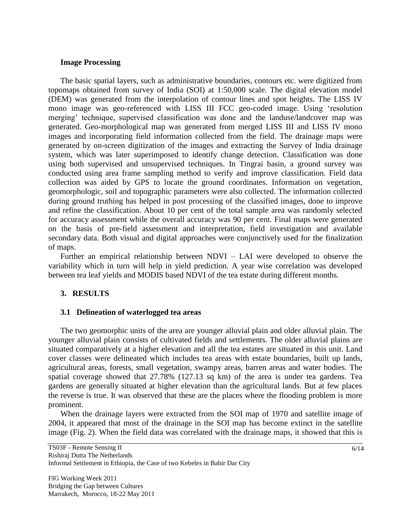## **Image Processing**

The basic spatial layers, such as administrative boundaries, contours etc. were digitized from topomaps obtained from survey of India (SOI) at 1:50,000 scale. The digital elevation model (DEM) was generated from the interpolation of contour lines and spot heights. The LISS IV mono image was geo-referenced with LISS III FCC geo-coded image. Using "resolution merging' technique, supervised classification was done and the landuse/landcover map was generated. Geo-morphological map was generated from merged LISS III and LISS IV mono images and incorporating field information collected from the field. The drainage maps were generated by on-screen digitization of the images and extracting the Survey of India drainage system, which was later superimposed to identify change detection. Classification was done using both supervised and unsupervised techniques. In Tingrai basin, a ground survey was conducted using area frame sampling method to verify and improve classification. Field data collection was aided by GPS to locate the ground coordinates. Information on vegetation, geomorphologic, soil and topographic parameters were also collected. The information collected during ground truthing has helped in post processing of the classified images, done to improve and refine the classification. About 10 per cent of the total sample area was randomly selected for accuracy assessment while the overall accuracy was 90 per cent. Final maps were generated on the basis of pre-field assessment and interpretation, field investigation and available secondary data. Both visual and digital approaches were conjunctively used for the finalization of maps.

Further an empirical relationship between NDVI – LAI were developed to observe the variability which in turn will help in yield prediction. A year wise correlation was developed between tea leaf yields and MODIS based NDVI of the tea estate during different months.

## **3. RESULTS**

#### **3.1 Delineation of waterlogged tea areas**

The two geomorphic units of the area are younger alluvial plain and older alluvial plain. The younger alluvial plain consists of cultivated fields and settlements. The older alluvial plains are situated comparatively at a higher elevation and all the tea estates are situated in this unit. Land cover classes were delineated which includes tea areas with estate boundaries, built up lands, agricultural areas, forests, small vegetation, swampy areas, barren areas and water bodies. The spatial coverage showed that 27.78% (127.13 sq km) of the area is under tea gardens. Tea gardens are generally situated at higher elevation than the agricultural lands. But at few places the reverse is true. It was observed that these are the places where the flooding problem is more prominent.

When the drainage layers were extracted from the SOI map of 1970 and satellite image of 2004, it appeared that most of the drainage in the SOI map has become extinct in the satellite image (Fig. 2). When the field data was correlated with the drainage maps, it showed that this is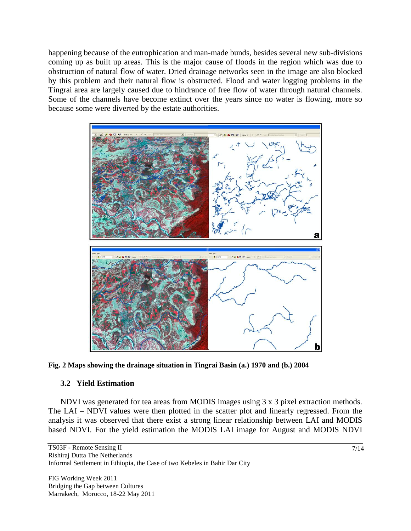happening because of the eutrophication and man-made bunds, besides several new sub-divisions coming up as built up areas. This is the major cause of floods in the region which was due to obstruction of natural flow of water. Dried drainage networks seen in the image are also blocked by this problem and their natural flow is obstructed. Flood and water logging problems in the Tingrai area are largely caused due to hindrance of free flow of water through natural channels. Some of the channels have become extinct over the years since no water is flowing, more so because some were diverted by the estate authorities.



**Fig. 2 Maps showing the drainage situation in Tingrai Basin (a.) 1970 and (b.) 2004**

# **3.2 Yield Estimation**

NDVI was generated for tea areas from MODIS images using 3 x 3 pixel extraction methods. The LAI – NDVI values were then plotted in the scatter plot and linearly regressed. From the analysis it was observed that there exist a strong linear relationship between LAI and MODIS based NDVI. For the yield estimation the MODIS LAI image for August and MODIS NDVI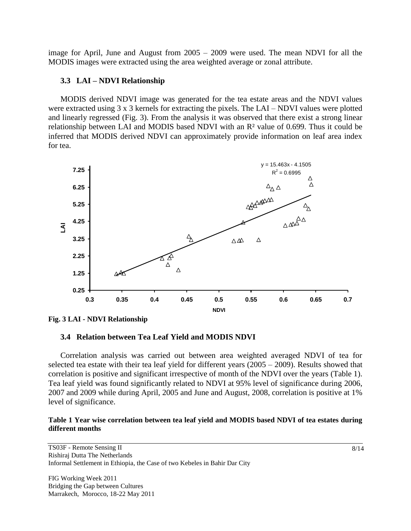image for April, June and August from 2005 – 2009 were used. The mean NDVI for all the MODIS images were extracted using the area weighted average or zonal attribute.

# **3.3 LAI – NDVI Relationship**

MODIS derived NDVI image was generated for the tea estate areas and the NDVI values were extracted using 3 x 3 kernels for extracting the pixels. The LAI – NDVI values were plotted and linearly regressed (Fig. 3). From the analysis it was observed that there exist a strong linear relationship between LAI and MODIS based NDVI with an R² value of 0.699. Thus it could be inferred that MODIS derived NDVI can approximately provide information on leaf area index for tea.



**Fig. 3 LAI - NDVI Relationship**

# **3.4 Relation between Tea Leaf Yield and MODIS NDVI**

Correlation analysis was carried out between area weighted averaged NDVI of tea for selected tea estate with their tea leaf yield for different years (2005 – 2009). Results showed that correlation is positive and significant irrespective of month of the NDVI over the years (Table 1). Tea leaf yield was found significantly related to NDVI at 95% level of significance during 2006, 2007 and 2009 while during April, 2005 and June and August, 2008, correlation is positive at 1% level of significance.

## **Table 1 Year wise correlation between tea leaf yield and MODIS based NDVI of tea estates during different months**

TS03F - Remote Sensing II Rishiraj Dutta The Netherlands Informal Settlement in Ethiopia, the Case of two Kebeles in Bahir Dar City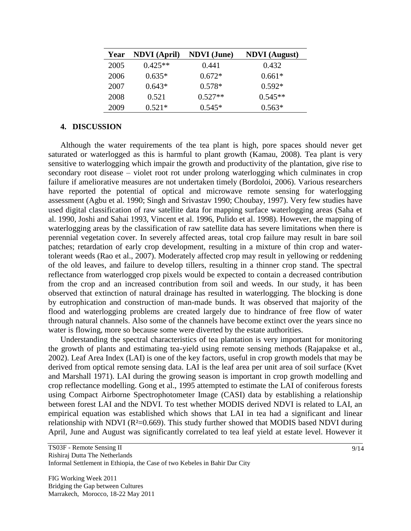| Year | <b>NDVI</b> (April) | <b>NDVI</b> (June) | <b>NDVI</b> (August) |
|------|---------------------|--------------------|----------------------|
| 2005 | $0.425**$           | 0.441              | 0.432                |
| 2006 | $0.635*$            | $0.672*$           | $0.661*$             |
| 2007 | $0.643*$            | $0.578*$           | $0.592*$             |
| 2008 | 0.521               | $0.527**$          | $0.545**$            |
| 2009 | $0.521*$            | $0.545*$           | $0.563*$             |

## **4. DISCUSSION**

Although the water requirements of the tea plant is high, pore spaces should never get saturated or waterlogged as this is harmful to plant growth (Kamau, 2008). Tea plant is very sensitive to waterlogging which impair the growth and productivity of the plantation, give rise to secondary root disease – violet root rot under prolong waterlogging which culminates in crop failure if ameliorative measures are not undertaken timely (Bordoloi, 2006). Various researchers have reported the potential of optical and microwave remote sensing for waterlogging assessment (Agbu et al. 1990; Singh and Srivastav 1990; Choubay, 1997). Very few studies have used digital classification of raw satellite data for mapping surface waterlogging areas (Saha et al. 1990, Joshi and Sahai 1993, Vincent et al. 1996, Pulido et al. 1998). However, the mapping of waterlogging areas by the classification of raw satellite data has severe limitations when there is perennial vegetation cover. In severely affected areas, total crop failure may result in bare soil patches; retardation of early crop development, resulting in a mixture of thin crop and watertolerant weeds (Rao et al., 2007). Moderately affected crop may result in yellowing or reddening of the old leaves, and failure to develop tillers, resulting in a thinner crop stand. The spectral reflectance from waterlogged crop pixels would be expected to contain a decreased contribution from the crop and an increased contribution from soil and weeds. In our study, it has been observed that extinction of natural drainage has resulted in waterlogging. The blocking is done by eutrophication and construction of man-made bunds. It was observed that majority of the flood and waterlogging problems are created largely due to hindrance of free flow of water through natural channels. Also some of the channels have become extinct over the years since no water is flowing, more so because some were diverted by the estate authorities.

Understanding the spectral characteristics of tea plantation is very important for monitoring the growth of plants and estimating tea-yield using remote sensing methods (Rajapakse et al., 2002). Leaf Area Index (LAI) is one of the key factors, useful in crop growth models that may be derived from optical remote sensing data. LAI is the leaf area per unit area of soil surface (Kvet and Marshall 1971). LAI during the growing season is important in crop growth modelling and crop reflectance modelling. Gong et al., 1995 attempted to estimate the LAI of coniferous forests using Compact Airborne Spectrophotometer Image (CASI) data by establishing a relationship between forest LAI and the NDVI. To test whether MODIS derived NDVI is related to LAI, an empirical equation was established which shows that LAI in tea had a significant and linear relationship with NDVI ( $R<sup>2</sup>=0.669$ ). This study further showed that MODIS based NDVI during April, June and August was significantly correlated to tea leaf yield at estate level. However it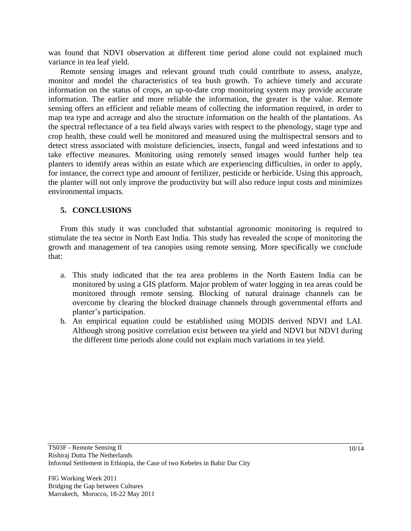was found that NDVI observation at different time period alone could not explained much variance in tea leaf yield.

Remote sensing images and relevant ground truth could contribute to assess, analyze, monitor and model the characteristics of tea bush growth. To achieve timely and accurate information on the status of crops, an up-to-date crop monitoring system may provide accurate information. The earlier and more reliable the information, the greater is the value. Remote sensing offers an efficient and reliable means of collecting the information required, in order to map tea type and acreage and also the structure information on the health of the plantations. As the spectral reflectance of a tea field always varies with respect to the phenology, stage type and crop health, these could well be monitored and measured using the multispectral sensors and to detect stress associated with moisture deficiencies, insects, fungal and weed infestations and to take effective measures. Monitoring using remotely sensed images would further help tea planters to identify areas within an estate which are experiencing difficulties, in order to apply, for instance, the correct type and amount of fertilizer, pesticide or herbicide. Using this approach, the planter will not only improve the productivity but will also reduce input costs and minimizes environmental impacts.

# **5. CONCLUSIONS**

From this study it was concluded that substantial agronomic monitoring is required to stimulate the tea sector in North East India. This study has revealed the scope of monitoring the growth and management of tea canopies using remote sensing. More specifically we conclude that:

- a. This study indicated that the tea area problems in the North Eastern India can be monitored by using a GIS platform. Major problem of water logging in tea areas could be monitored through remote sensing. Blocking of natural drainage channels can be overcome by clearing the blocked drainage channels through governmental efforts and planter"s participation.
- b. An empirical equation could be established using MODIS derived NDVI and LAI. Although strong positive correlation exist between tea yield and NDVI but NDVI during the different time periods alone could not explain much variations in tea yield.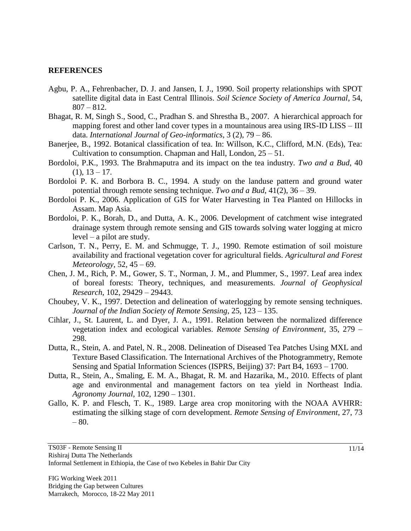## **REFERENCES**

- Agbu, P. A., Fehrenbacher, D. J. and Jansen, I. J., 1990. Soil property relationships with SPOT satellite digital data in East Central Illinois. *Soil Science Society of America Journal*, 54,  $807 - 812.$
- Bhagat, R. M, Singh S., Sood, C., Pradhan S. and Shrestha B., 2007. A hierarchical approach for mapping forest and other land cover types in a mountainous area using IRS-ID LISS – III data. *International Journal of Geo-informatics*, 3 (2), 79 – 86.
- Banerjee, B., 1992. Botanical classification of tea. In: Willson, K.C., Clifford, M.N. (Eds), Tea: Cultivation to consumption. Chapman and Hall, London,  $25 - 51$ .
- Bordoloi, P.K., 1993. The Brahmaputra and its impact on the tea industry. *Two and a Bud*, 40  $(1), 13 - 17.$
- Bordoloi P. K. and Borbora B. C., 1994. A study on the landuse pattern and ground water potential through remote sensing technique. *Two and a Bud*, 41(2), 36 – 39.
- Bordoloi P. K., 2006. Application of GIS for Water Harvesting in Tea Planted on Hillocks in Assam. Map Asia.
- Bordoloi, P. K., Borah, D., and Dutta, A. K., 2006. Development of catchment wise integrated drainage system through remote sensing and GIS towards solving water logging at micro level – a pilot are study.
- Carlson, T. N., Perry, E. M. and Schmugge, T. J., 1990. Remote estimation of soil moisture availability and fractional vegetation cover for agricultural fields. *Agricultural and Forest Meteorology*, 52, 45 – 69.
- Chen, J. M., Rich, P. M., Gower, S. T., Norman, J. M., and Plummer, S., 1997. Leaf area index of boreal forests: Theory, techniques, and measurements. *Journal of Geophysical Research*, 102, 29429 – 29443.
- Choubey, V. K., 1997. Detection and delineation of waterlogging by remote sensing techniques. *Journal of the Indian Society of Remote Sensing*, 25, 123 – 135.
- Cihlar, J., St. Laurent, L. and Dyer, J. A., 1991. Relation between the normalized difference vegetation index and ecological variables. *Remote Sensing of Environment*, 35, 279 – 298.
- Dutta, R., Stein, A. and Patel, N. R., 2008. Delineation of Diseased Tea Patches Using MXL and Texture Based Classification. The International Archives of the Photogrammetry, Remote Sensing and Spatial Information Sciences (ISPRS, Beijing) 37: Part B4, 1693 – 1700.
- Dutta, R., Stein, A., Smaling, E. M. A., Bhagat, R. M. and Hazarika, M., 2010. Effects of plant age and environmental and management factors on tea yield in Northeast India. *Agronomy Journal*, 102, 1290 – 1301.
- Gallo, K. P. and Flesch, T. K., 1989. Large area crop monitoring with the NOAA AVHRR: estimating the silking stage of corn development. *Remote Sensing of Environment*, 27, 73 – 80.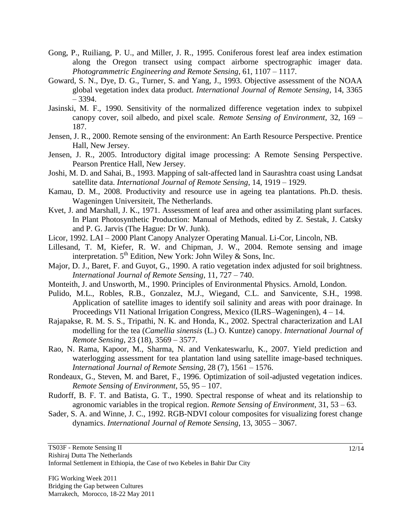- Gong, P., Ruiliang, P. U., and Miller, J. R., 1995. Coniferous forest leaf area index estimation along the Oregon transect using compact airborne spectrographic imager data. *Photogrammetric Engineering and Remote Sensing*, 61, 1107 – 1117.
- Goward, S. N., Dye, D. G., Turner, S. and Yang, J., 1993. Objective assessment of the NOAA global vegetation index data product. *International Journal of Remote Sensing*, 14, 3365 – 3394.
- Jasinski, M. F., 1990. Sensitivity of the normalized difference vegetation index to subpixel canopy cover, soil albedo, and pixel scale. *Remote Sensing of Environment*, 32, 169 – 187.
- Jensen, J. R., 2000. Remote sensing of the environment: An Earth Resource Perspective. Prentice Hall, New Jersey.
- Jensen, J. R., 2005. Introductory digital image processing: A Remote Sensing Perspective. Pearson Prentice Hall, New Jersey.
- Joshi, M. D. and Sahai, B., 1993. Mapping of salt-affected land in Saurashtra coast using Landsat satellite data. *International Journal of Remote Sensing*, 14, 1919 – 1929.
- Kamau, D. M., 2008. Productivity and resource use in ageing tea plantations. Ph.D. thesis. Wageningen Universiteit, The Netherlands.
- Kvet, J. and Marshall, J. K., 1971. Assessment of leaf area and other assimilating plant surfaces. In Plant Photosynthetic Production: Manual of Methods, edited by Z. Sestak, J. Catsky and P. G. Jarvis (The Hague: Dr W. Junk).
- Licor, 1992. LAI 2000 Plant Canopy Analyzer Operating Manual. Li-Cor, Lincoln, NB.
- Lillesand, T. M, Kiefer, R. W. and Chipman, J. W., 2004. Remote sensing and image interpretation.  $5<sup>th</sup>$  Edition, New York: John Wiley & Sons, Inc.
- Major, D. J., Baret, F. and Guyot, G., 1990. A ratio vegetation index adjusted for soil brightness. *International Journal of Remote Sensing*, 11, 727 – 740.
- Monteith, J. and Unsworth, M., 1990. Principles of Environmental Physics. Arnold, London.
- Pulido, M.L., Robles, R.B., Gonzalez, M.J., Wiegand, C.L. and Sanvicente, S.H., 1998. Application of satellite images to identify soil salinity and areas with poor drainage. In Proceedings VI1 National Irrigation Congress, Mexico (ILRS–Wageningen), 4 – 14.
- Rajapakse, R. M. S. S., Tripathi, N. K. and Honda, K., 2002. Spectral characterization and LAI modelling for the tea (*Camellia sinensis* (L.) O. Kuntze) canopy. *International Journal of Remote Sensing*, 23 (18), 3569 – 3577.
- Rao, N. Rama, Kapoor, M., Sharma, N. and Venkateswarlu, K., 2007. Yield prediction and waterlogging assessment for tea plantation land using satellite image-based techniques. *International Journal of Remote Sensing*, 28 (7), 1561 – 1576.
- Rondeaux, G., Steven, M. and Baret, F., 1996. Optimization of soil-adjusted vegetation indices. *Remote Sensing of Environment*, 55, 95 – 107.
- Rudorff, B. F. T. and Batista, G. T., 1990. Spectral response of wheat and its relationship to agronomic variables in the tropical region. *Remote Sensing of Environment*, 31, 53 – 63.
- Sader, S. A. and Winne, J. C., 1992. RGB-NDVI colour composites for visualizing forest change dynamics. *International Journal of Remote Sensing*, 13, 3055 – 3067.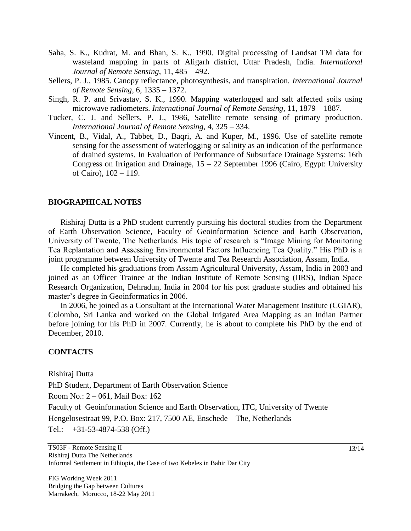- Saha, S. K., Kudrat, M. and Bhan, S. K., 1990. Digital processing of Landsat TM data for wasteland mapping in parts of Aligarh district, Uttar Pradesh, India. *International Journal of Remote Sensing*, 11, 485 – 492.
- Sellers, P. J., 1985. Canopy reflectance, photosynthesis, and transpiration. *International Journal of Remote Sensing*, 6, 1335 – 1372.
- Singh, R. P. and Srivastav, S. K., 1990. Mapping waterlogged and salt affected soils using microwave radiometers. *International Journal of Remote Sensing*, 11, 1879 – 1887.
- Tucker, C. J. and Sellers, P. J., 1986, Satellite remote sensing of primary production. *International Journal of Remote Sensing*, 4, 325 – 334.
- Vincent, B., Vidal, A., Tabbet, D., Baqri, A. and Kuper, M., 1996. Use of satellite remote sensing for the assessment of waterlogging or salinity as an indication of the performance of drained systems. In Evaluation of Performance of Subsurface Drainage Systems: 16th Congress on Irrigation and Drainage,  $15 - 22$  September 1996 (Cairo, Egypt: University of Cairo), 102 – 119.

#### **BIOGRAPHICAL NOTES**

Rishiraj Dutta is a PhD student currently pursuing his doctoral studies from the Department of Earth Observation Science, Faculty of Geoinformation Science and Earth Observation, University of Twente, The Netherlands. His topic of research is "Image Mining for Monitoring Tea Replantation and Assessing Environmental Factors Influencing Tea Quality." His PhD is a joint programme between University of Twente and Tea Research Association, Assam, India.

He completed his graduations from Assam Agricultural University, Assam, India in 2003 and joined as an Officer Trainee at the Indian Institute of Remote Sensing (IIRS), Indian Space Research Organization, Dehradun, India in 2004 for his post graduate studies and obtained his master's degree in Geoinformatics in 2006.

In 2006, he joined as a Consultant at the International Water Management Institute (CGIAR), Colombo, Sri Lanka and worked on the Global Irrigated Area Mapping as an Indian Partner before joining for his PhD in 2007. Currently, he is about to complete his PhD by the end of December, 2010.

# **CONTACTS**

Rishiraj Dutta

PhD Student, Department of Earth Observation Science

Room No.: 2 – 061, Mail Box: 162

Faculty of Geoinformation Science and Earth Observation, ITC, University of Twente Hengelosestraat 99, P.O. Box: 217, 7500 AE, Enschede – The, Netherlands

Tel.: +31-53-4874-538 (Off.)

TS03F - Remote Sensing II Rishiraj Dutta The Netherlands Informal Settlement in Ethiopia, the Case of two Kebeles in Bahir Dar City